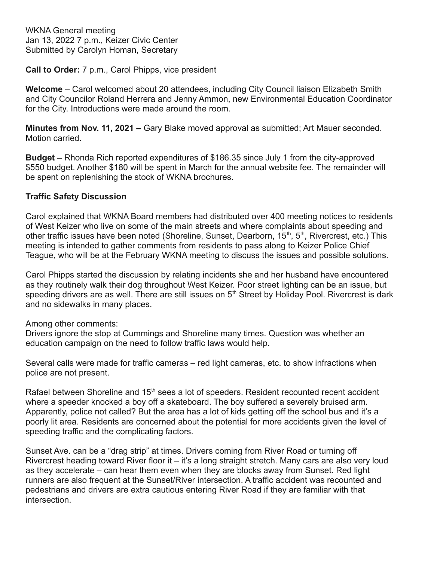WKNA General meeting Jan 13, 2022 7 p.m., Keizer Civic Center Submitted by Carolyn Homan, Secretary

**Call to Order:** 7 p.m., Carol Phipps, vice president

**Welcome** – Carol welcomed about 20 attendees, including City Council liaison Elizabeth Smith and City Councilor Roland Herrera and Jenny Ammon, new Environmental Education Coordinator for the City. Introductions were made around the room.

**Minutes from Nov. 11, 2021 –** Gary Blake moved approval as submitted; Art Mauer seconded. Motion carried.

**Budget –** Rhonda Rich reported expenditures of \$186.35 since July 1 from the city-approved \$550 budget. Another \$180 will be spent in March for the annual website fee. The remainder will be spent on replenishing the stock of WKNA brochures.

# **Traffic Safety Discussion**

Carol explained that WKNA Board members had distributed over 400 meeting notices to residents of West Keizer who live on some of the main streets and where complaints about speeding and other traffic issues have been noted (Shoreline, Sunset, Dearborn, 15<sup>th</sup>, 5<sup>th</sup>, Rivercrest, etc.) This meeting is intended to gather comments from residents to pass along to Keizer Police Chief Teague, who will be at the February WKNA meeting to discuss the issues and possible solutions.

Carol Phipps started the discussion by relating incidents she and her husband have encountered as they routinely walk their dog throughout West Keizer. Poor street lighting can be an issue, but speeding drivers are as well. There are still issues on  $5<sup>th</sup>$  Street by Holiday Pool. Rivercrest is dark and no sidewalks in many places.

Among other comments:

Drivers ignore the stop at Cummings and Shoreline many times. Question was whether an education campaign on the need to follow traffic laws would help.

Several calls were made for traffic cameras – red light cameras, etc. to show infractions when police are not present.

Rafael between Shoreline and 15<sup>th</sup> sees a lot of speeders. Resident recounted recent accident where a speeder knocked a boy off a skateboard. The boy suffered a severely bruised arm. Apparently, police not called? But the area has a lot of kids getting off the school bus and it's a poorly lit area. Residents are concerned about the potential for more accidents given the level of speeding traffic and the complicating factors.

Sunset Ave. can be a "drag strip" at times. Drivers coming from River Road or turning off Rivercrest heading toward River floor it – it's a long straight stretch. Many cars are also very loud as they accelerate – can hear them even when they are blocks away from Sunset. Red light runners are also frequent at the Sunset/River intersection. A traffic accident was recounted and pedestrians and drivers are extra cautious entering River Road if they are familiar with that intersection.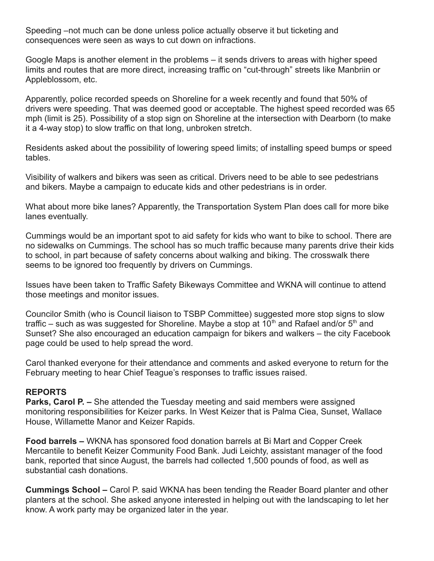Speeding –not much can be done unless police actually observe it but ticketing and consequences were seen as ways to cut down on infractions.

Google Maps is another element in the problems – it sends drivers to areas with higher speed limits and routes that are more direct, increasing traffic on "cut-through" streets like Manbriin or Appleblossom, etc.

Apparently, police recorded speeds on Shoreline for a week recently and found that 50% of drivers were speeding. That was deemed good or acceptable. The highest speed recorded was 65 mph (limit is 25). Possibility of a stop sign on Shoreline at the intersection with Dearborn (to make it a 4-way stop) to slow traffic on that long, unbroken stretch.

Residents asked about the possibility of lowering speed limits; of installing speed bumps or speed tables.

Visibility of walkers and bikers was seen as critical. Drivers need to be able to see pedestrians and bikers. Maybe a campaign to educate kids and other pedestrians is in order.

What about more bike lanes? Apparently, the Transportation System Plan does call for more bike lanes eventually.

Cummings would be an important spot to aid safety for kids who want to bike to school. There are no sidewalks on Cummings. The school has so much traffic because many parents drive their kids to school, in part because of safety concerns about walking and biking. The crosswalk there seems to be ignored too frequently by drivers on Cummings.

Issues have been taken to Traffic Safety Bikeways Committee and WKNA will continue to attend those meetings and monitor issues.

Councilor Smith (who is Council liaison to TSBP Committee) suggested more stop signs to slow traffic – such as was suggested for Shoreline. Maybe a stop at 10<sup>th</sup> and Rafael and/or 5<sup>th</sup> and Sunset? She also encouraged an education campaign for bikers and walkers – the city Facebook page could be used to help spread the word.

Carol thanked everyone for their attendance and comments and asked everyone to return for the February meeting to hear Chief Teague's responses to traffic issues raised.

### **REPORTS**

**Parks, Carol P. –** She attended the Tuesday meeting and said members were assigned monitoring responsibilities for Keizer parks. In West Keizer that is Palma Ciea, Sunset, Wallace House, Willamette Manor and Keizer Rapids.

**Food barrels –** WKNA has sponsored food donation barrels at Bi Mart and Copper Creek Mercantile to benefit Keizer Community Food Bank. Judi Leichty, assistant manager of the food bank, reported that since August, the barrels had collected 1,500 pounds of food, as well as substantial cash donations.

**Cummings School –** Carol P. said WKNA has been tending the Reader Board planter and other planters at the school. She asked anyone interested in helping out with the landscaping to let her know. A work party may be organized later in the year.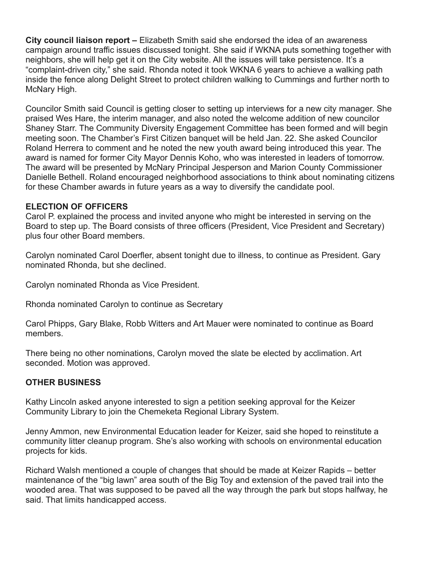**City council liaison report –** Elizabeth Smith said she endorsed the idea of an awareness campaign around traffic issues discussed tonight. She said if WKNA puts something together with neighbors, she will help get it on the City website. All the issues will take persistence. It's a "complaint-driven city," she said. Rhonda noted it took WKNA 6 years to achieve a walking path inside the fence along Delight Street to protect children walking to Cummings and further north to McNary High.

Councilor Smith said Council is getting closer to setting up interviews for a new city manager. She praised Wes Hare, the interim manager, and also noted the welcome addition of new councilor Shaney Starr. The Community Diversity Engagement Committee has been formed and will begin meeting soon. The Chamber's First Citizen banquet will be held Jan. 22. She asked Councilor Roland Herrera to comment and he noted the new youth award being introduced this year. The award is named for former City Mayor Dennis Koho, who was interested in leaders of tomorrow. The award will be presented by McNary Principal Jesperson and Marion County Commissioner Danielle Bethell. Roland encouraged neighborhood associations to think about nominating citizens for these Chamber awards in future years as a way to diversify the candidate pool.

## **ELECTION OF OFFICERS**

Carol P. explained the process and invited anyone who might be interested in serving on the Board to step up. The Board consists of three officers (President, Vice President and Secretary) plus four other Board members.

Carolyn nominated Carol Doerfler, absent tonight due to illness, to continue as President. Gary nominated Rhonda, but she declined.

Carolyn nominated Rhonda as Vice President.

Rhonda nominated Carolyn to continue as Secretary

Carol Phipps, Gary Blake, Robb Witters and Art Mauer were nominated to continue as Board members.

There being no other nominations, Carolyn moved the slate be elected by acclimation. Art seconded. Motion was approved.

### **OTHER BUSINESS**

Kathy Lincoln asked anyone interested to sign a petition seeking approval for the Keizer Community Library to join the Chemeketa Regional Library System.

Jenny Ammon, new Environmental Education leader for Keizer, said she hoped to reinstitute a community litter cleanup program. She's also working with schools on environmental education projects for kids.

Richard Walsh mentioned a couple of changes that should be made at Keizer Rapids – better maintenance of the "big lawn" area south of the Big Toy and extension of the paved trail into the wooded area. That was supposed to be paved all the way through the park but stops halfway, he said. That limits handicapped access.